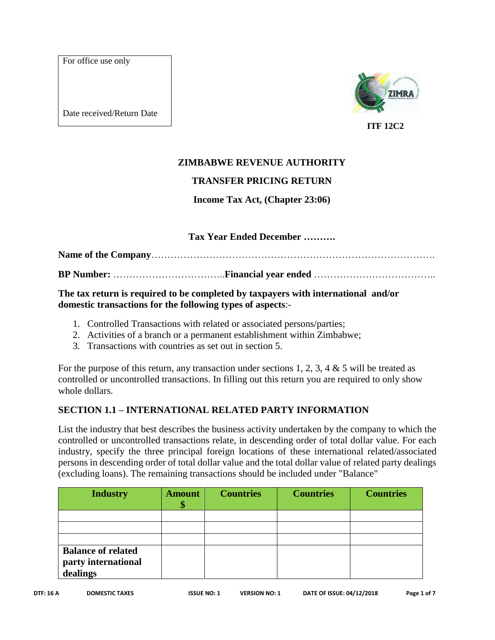For office use only

Date received/Return Date



## **ZIMBABWE REVENUE AUTHORITY**

### **TRANSFER PRICING RETURN**

### **Income Tax Act, (Chapter 23:06)**

### **Tax Year Ended December ……….**

**Name of the Company**……………………………………………………………………………. **BP Number:** ……………………………..**Financial year ended** ………………………………..

**The tax return is required to be completed by taxpayers with international and/or domestic transactions for the following types of aspects**:-

- 1. Controlled Transactions with related or associated persons/parties;
- 2. Activities of a branch or a permanent establishment within Zimbabwe;
- 3. Transactions with countries as set out in section 5.

For the purpose of this return, any transaction under sections 1, 2, 3, 4  $\&$  5 will be treated as controlled or uncontrolled transactions. In filling out this return you are required to only show whole dollars.

### **SECTION 1.1 – INTERNATIONAL RELATED PARTY INFORMATION**

List the industry that best describes the business activity undertaken by the company to which the controlled or uncontrolled transactions relate, in descending order of total dollar value. For each industry, specify the three principal foreign locations of these international related/associated persons in descending order of total dollar value and the total dollar value of related party dealings (excluding loans). The remaining transactions should be included under "Balance"

| <b>Industry</b>                                              | <b>Amount</b> | <b>Countries</b> | <b>Countries</b> | <b>Countries</b> |
|--------------------------------------------------------------|---------------|------------------|------------------|------------------|
|                                                              |               |                  |                  |                  |
|                                                              |               |                  |                  |                  |
|                                                              |               |                  |                  |                  |
| <b>Balance of related</b><br>party international<br>dealings |               |                  |                  |                  |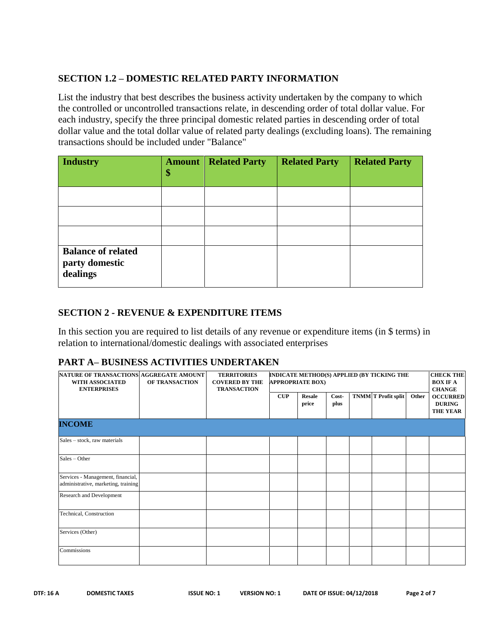### **SECTION 1.2 – DOMESTIC RELATED PARTY INFORMATION**

List the industry that best describes the business activity undertaken by the company to which the controlled or uncontrolled transactions relate, in descending order of total dollar value. For each industry, specify the three principal domestic related parties in descending order of total dollar value and the total dollar value of related party dealings (excluding loans). The remaining transactions should be included under "Balance"

| <b>Industry</b>                                         | <b>Amount</b><br>\$ | <b>Related Party</b> | <b>Related Party</b> | <b>Related Party</b> |
|---------------------------------------------------------|---------------------|----------------------|----------------------|----------------------|
|                                                         |                     |                      |                      |                      |
|                                                         |                     |                      |                      |                      |
|                                                         |                     |                      |                      |                      |
| <b>Balance of related</b><br>party domestic<br>dealings |                     |                      |                      |                      |

#### **SECTION 2 - REVENUE & EXPENDITURE ITEMS**

In this section you are required to list details of any revenue or expenditure items (in \$ terms) in relation to international/domestic dealings with associated enterprises

### **PART A– BUSINESS ACTIVITIES UNDERTAKEN**

| NATURE OF TRANSACTIONS AGGREGATE AMOUNT<br>WITH ASSOCIATED<br><b>ENTERPRISES</b> | <b>OF TRANSACTION</b> | <b>TERRITORIES</b><br><b>COVERED BY THE</b> | INDICATE METHOD(S) APPLIED (BY TICKING THE<br><b>APPROPRIATE BOX)</b> |                        |               |                            | <b>TRANSACTION</b> |                                                     |  | <b>CHECK THE</b><br><b>BOX IF A</b><br><b>CHANGE</b> |
|----------------------------------------------------------------------------------|-----------------------|---------------------------------------------|-----------------------------------------------------------------------|------------------------|---------------|----------------------------|--------------------|-----------------------------------------------------|--|------------------------------------------------------|
|                                                                                  |                       |                                             | CUP                                                                   | <b>Resale</b><br>price | Cost-<br>plus | <b>TNMM T</b> Profit split | Other              | <b>OCCURRED</b><br><b>DURING</b><br><b>THE YEAR</b> |  |                                                      |
| <b>INCOME</b>                                                                    |                       |                                             |                                                                       |                        |               |                            |                    |                                                     |  |                                                      |
| Sales - stock, raw materials                                                     |                       |                                             |                                                                       |                        |               |                            |                    |                                                     |  |                                                      |
| Sales - Other                                                                    |                       |                                             |                                                                       |                        |               |                            |                    |                                                     |  |                                                      |
| Services - Management, financial,<br>administrative, marketing, training         |                       |                                             |                                                                       |                        |               |                            |                    |                                                     |  |                                                      |
| <b>Research and Development</b>                                                  |                       |                                             |                                                                       |                        |               |                            |                    |                                                     |  |                                                      |
| Technical, Construction                                                          |                       |                                             |                                                                       |                        |               |                            |                    |                                                     |  |                                                      |
| Services (Other)                                                                 |                       |                                             |                                                                       |                        |               |                            |                    |                                                     |  |                                                      |
| Commissions                                                                      |                       |                                             |                                                                       |                        |               |                            |                    |                                                     |  |                                                      |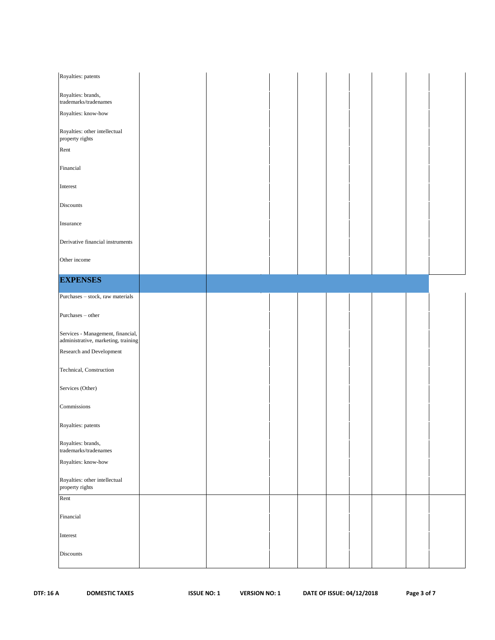| Royalties: patents                                                       |  |  |  |  |  |
|--------------------------------------------------------------------------|--|--|--|--|--|
| Royalties: brands,<br>trademarks/tradenames                              |  |  |  |  |  |
| Royalties: know-how                                                      |  |  |  |  |  |
| Royalties: other intellectual<br>property rights                         |  |  |  |  |  |
| Rent                                                                     |  |  |  |  |  |
| Financial                                                                |  |  |  |  |  |
| Interest                                                                 |  |  |  |  |  |
| <b>Discounts</b>                                                         |  |  |  |  |  |
| Insurance                                                                |  |  |  |  |  |
| Derivative financial instruments                                         |  |  |  |  |  |
| Other income                                                             |  |  |  |  |  |
| <b>EXPENSES</b>                                                          |  |  |  |  |  |
| Purchases - stock, raw materials                                         |  |  |  |  |  |
| Purchases - other                                                        |  |  |  |  |  |
| Services - Management, financial,<br>administrative, marketing, training |  |  |  |  |  |
| Research and Development                                                 |  |  |  |  |  |
| Technical, Construction                                                  |  |  |  |  |  |
| Services (Other)                                                         |  |  |  |  |  |
| Commissions                                                              |  |  |  |  |  |
| Royalties: patents                                                       |  |  |  |  |  |
| Royalties: brands,<br>trademarks/tradenames                              |  |  |  |  |  |
| Royalties: know-how                                                      |  |  |  |  |  |
| Royalties: other intellectual<br>property rights                         |  |  |  |  |  |
| Rent                                                                     |  |  |  |  |  |
| Financial                                                                |  |  |  |  |  |
| Interest                                                                 |  |  |  |  |  |
| Discounts                                                                |  |  |  |  |  |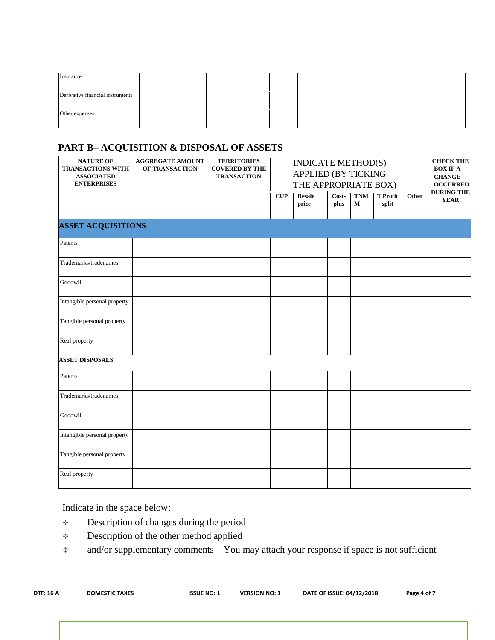| Insurance                        |  |  |  |  |  |
|----------------------------------|--|--|--|--|--|
| Derivative financial instruments |  |  |  |  |  |
| Other expenses                   |  |  |  |  |  |

# **PART B– ACQUISITION & DISPOSAL OF ASSETS**

| <b>NATURE OF</b><br><b>TRANSACTIONS WITH</b><br><b>ASSOCIATED</b><br><b>ENTERPRISES</b> | <b>AGGREGATE AMOUNT</b><br>OF TRANSACTION | <b>TERRITORIES</b><br><b>COVERED BY THE</b><br><b>TRANSACTION</b> | INDICATE METHOD(S)<br><b>APPLIED (BY TICKING</b><br>THE APPROPRIATE BOX) |                        |               |                 | <b>CHECK THE</b><br><b>BOX IF A</b><br>${\bf CHANGE}$<br><b>OCCURRED</b> |       |                                  |
|-----------------------------------------------------------------------------------------|-------------------------------------------|-------------------------------------------------------------------|--------------------------------------------------------------------------|------------------------|---------------|-----------------|--------------------------------------------------------------------------|-------|----------------------------------|
|                                                                                         |                                           |                                                                   | CUP                                                                      | <b>Resale</b><br>price | Cost-<br>plus | <b>TNM</b><br>M | <b>T</b> Profit<br>split                                                 | Other | <b>DURING THE</b><br><b>YEAR</b> |
| <b>ASSET ACQUISITIONS</b>                                                               |                                           |                                                                   |                                                                          |                        |               |                 |                                                                          |       |                                  |
| Patents                                                                                 |                                           |                                                                   |                                                                          |                        |               |                 |                                                                          |       |                                  |
| Trademarks/tradenames                                                                   |                                           |                                                                   |                                                                          |                        |               |                 |                                                                          |       |                                  |
| Goodwill                                                                                |                                           |                                                                   |                                                                          |                        |               |                 |                                                                          |       |                                  |
| Intangible personal property                                                            |                                           |                                                                   |                                                                          |                        |               |                 |                                                                          |       |                                  |
| Tangible personal property                                                              |                                           |                                                                   |                                                                          |                        |               |                 |                                                                          |       |                                  |
| Real property                                                                           |                                           |                                                                   |                                                                          |                        |               |                 |                                                                          |       |                                  |
| <b>ASSET DISPOSALS</b>                                                                  |                                           |                                                                   |                                                                          |                        |               |                 |                                                                          |       |                                  |
| Patents                                                                                 |                                           |                                                                   |                                                                          |                        |               |                 |                                                                          |       |                                  |
| Trademarks/tradenames                                                                   |                                           |                                                                   |                                                                          |                        |               |                 |                                                                          |       |                                  |
| Goodwill                                                                                |                                           |                                                                   |                                                                          |                        |               |                 |                                                                          |       |                                  |
| Intangible personal property                                                            |                                           |                                                                   |                                                                          |                        |               |                 |                                                                          |       |                                  |
| Tangible personal property                                                              |                                           |                                                                   |                                                                          |                        |               |                 |                                                                          |       |                                  |
| Real property                                                                           |                                           |                                                                   |                                                                          |                        |               |                 |                                                                          |       |                                  |

Indicate in the space below:

- Description of changes during the period
- Description of the other method applied
- \* and/or supplementary comments You may attach your response if space is not sufficient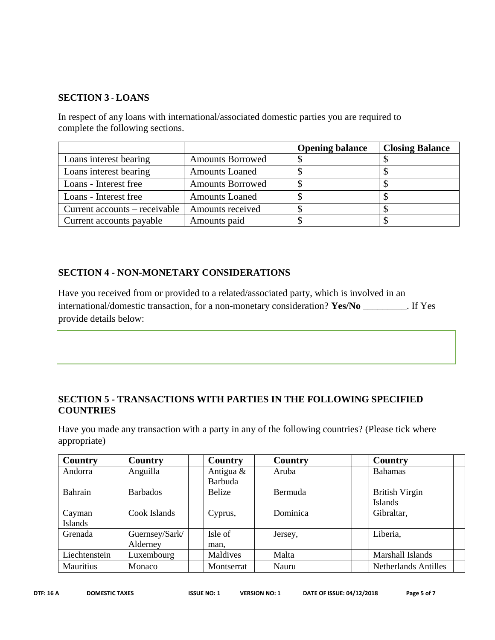### **SECTION 3** - **LOANS**

In respect of any loans with international/associated domestic parties you are required to complete the following sections.

|                               |                         | <b>Opening balance</b> | <b>Closing Balance</b> |
|-------------------------------|-------------------------|------------------------|------------------------|
| Loans interest bearing        | <b>Amounts Borrowed</b> |                        |                        |
| Loans interest bearing        | <b>Amounts Loaned</b>   |                        |                        |
| Loans - Interest free         | <b>Amounts Borrowed</b> |                        |                        |
| Loans - Interest free         | <b>Amounts Loaned</b>   |                        |                        |
| Current accounts – receivable | Amounts received        |                        |                        |
| Current accounts payable      | Amounts paid            |                        |                        |

### **SECTION 4 - NON-MONETARY CONSIDERATIONS**

Have you received from or provided to a related/associated party, which is involved in an international/domestic transaction, for a non-monetary consideration? **Yes/No** \_\_\_\_\_\_\_\_\_. If Yes provide details below:

### **SECTION 5 - TRANSACTIONS WITH PARTIES IN THE FOLLOWING SPECIFIED COUNTRIES**

Have you made any transaction with a party in any of the following countries? (Please tick where appropriate)

| Country       | Country         | <b>Country</b> | Country  | Country                     |
|---------------|-----------------|----------------|----------|-----------------------------|
| Andorra       | Anguilla        | Antigua $\&$   | Aruba    | <b>Bahamas</b>              |
|               |                 | Barbuda        |          |                             |
| Bahrain       | <b>Barbados</b> | Belize         | Bermuda  | <b>British Virgin</b>       |
|               |                 |                |          | Islands                     |
| Cayman        | Cook Islands    | Cyprus,        | Dominica | Gibraltar,                  |
| Islands       |                 |                |          |                             |
| Grenada       | Guernsey/Sark/  | Isle of        | Jersey,  | Liberia,                    |
|               | Alderney        | man,           |          |                             |
| Liechtenstein | Luxembourg      | Maldives       | Malta    | Marshall Islands            |
| Mauritius     | Monaco          | Montserrat     | Nauru    | <b>Netherlands Antilles</b> |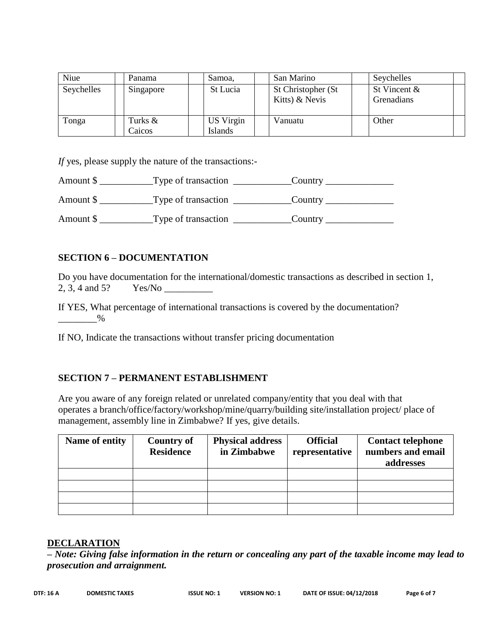| Niue       | Panama    | Samoa,         | San Marino                           | Seychelles                 |
|------------|-----------|----------------|--------------------------------------|----------------------------|
| Seychelles | Singapore | St Lucia       | St Christopher (St<br>Kitts) & Nevis | St Vincent &<br>Grenadians |
| Tonga      | Turks &   | US Virgin      | Vanuatu                              | Other                      |
|            | Caicos    | <b>Islands</b> |                                      |                            |

*If* yes, please supply the nature of the transactions:-

| Amount \$ | Type of transaction | Country |
|-----------|---------------------|---------|
| Amount \$ | Type of transaction | Country |
| Amount \$ | Type of transaction | Country |

### **SECTION 6 – DOCUMENTATION**

Do you have documentation for the international/domestic transactions as described in section 1, 2, 3, 4 and 5? Yes/No \_\_\_\_\_\_\_\_\_\_

If YES, What percentage of international transactions is covered by the documentation?  $\%$ 

If NO, Indicate the transactions without transfer pricing documentation

### **SECTION 7 – PERMANENT ESTABLISHMENT**

Are you aware of any foreign related or unrelated company/entity that you deal with that operates a branch/office/factory/workshop/mine/quarry/building site/installation project/ place of management, assembly line in Zimbabwe? If yes, give details.

| Name of entity | <b>Country of</b><br><b>Residence</b> | <b>Physical address</b><br>in Zimbabwe | <b>Official</b><br>representative | <b>Contact telephone</b><br>numbers and email<br>addresses |
|----------------|---------------------------------------|----------------------------------------|-----------------------------------|------------------------------------------------------------|
|                |                                       |                                        |                                   |                                                            |
|                |                                       |                                        |                                   |                                                            |
|                |                                       |                                        |                                   |                                                            |
|                |                                       |                                        |                                   |                                                            |

### **DECLARATION**

*– Note: Giving false information in the return or concealing any part of the taxable income may lead to prosecution and arraignment.*